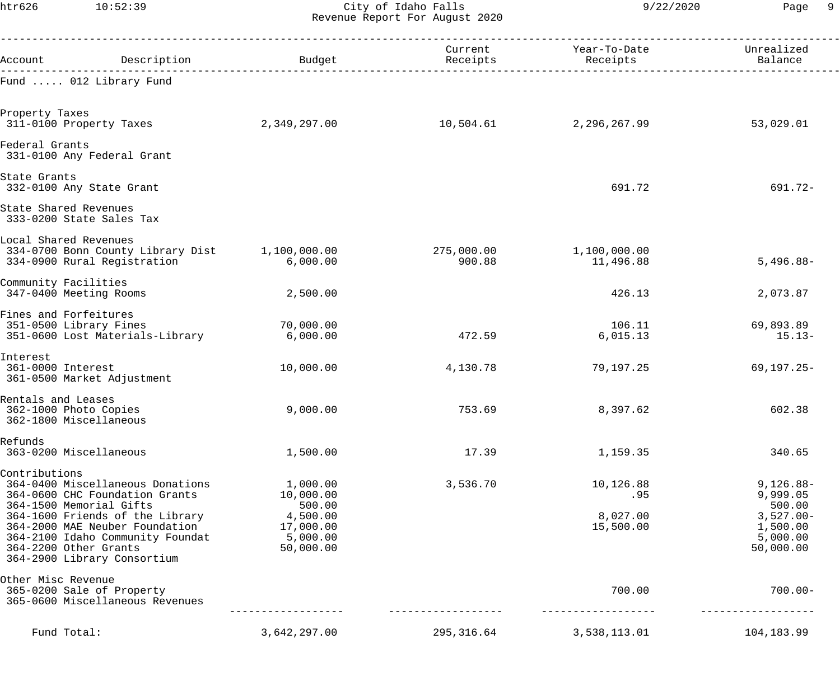htr626 10:52:39 City of Idaho Falls 9/22/2020 Page 9 Revenue Report For August 2020

| Account                                                                            | Description                                                                                                                                                                                                | Budget                                                                            | Current<br>Receipts  | Year-To-Date<br>Receipts                  | Unrealized<br>Balance                                                                 |
|------------------------------------------------------------------------------------|------------------------------------------------------------------------------------------------------------------------------------------------------------------------------------------------------------|-----------------------------------------------------------------------------------|----------------------|-------------------------------------------|---------------------------------------------------------------------------------------|
|                                                                                    | Fund  012 Library Fund                                                                                                                                                                                     |                                                                                   |                      |                                           |                                                                                       |
| Property Taxes<br>311-0100 Property Taxes                                          |                                                                                                                                                                                                            | 2,349,297.00                                                                      | 10,504.61            | 2,296,267.99                              | 53,029.01                                                                             |
| Federal Grants                                                                     | 331-0100 Any Federal Grant                                                                                                                                                                                 |                                                                                   |                      |                                           |                                                                                       |
| State Grants                                                                       | 332-0100 Any State Grant                                                                                                                                                                                   |                                                                                   |                      | 691.72                                    | 691.72-                                                                               |
| State Shared Revenues                                                              | 333-0200 State Sales Tax                                                                                                                                                                                   |                                                                                   |                      |                                           |                                                                                       |
| Local Shared Revenues                                                              | 334-0700 Bonn County Library Dist<br>334-0900 Rural Registration                                                                                                                                           | 1,100,000.00<br>6,000.00                                                          | 275,000.00<br>900.88 | 1,100,000.00<br>11,496.88                 | $5,496.88-$                                                                           |
| Community Facilities<br>347-0400 Meeting Rooms                                     |                                                                                                                                                                                                            | 2,500.00                                                                          |                      | 426.13                                    | 2,073.87                                                                              |
| Fines and Forfeitures<br>351-0500 Library Fines                                    | 351-0600 Lost Materials-Library                                                                                                                                                                            | 70,000.00<br>6,000.00                                                             | 472.59               | 106.11<br>6,015.13                        | 69,893.89<br>$15.13-$                                                                 |
| Interest<br>361-0000 Interest                                                      | 361-0500 Market Adjustment                                                                                                                                                                                 | 10,000.00                                                                         | 4,130.78             | 79,197.25                                 | $69, 197.25 -$                                                                        |
| Rentals and Leases<br>362-1000 Photo Copies<br>362-1800 Miscellaneous              |                                                                                                                                                                                                            | 9,000.00                                                                          | 753.69               | 8,397.62                                  | 602.38                                                                                |
| Refunds<br>363-0200 Miscellaneous                                                  |                                                                                                                                                                                                            | 1,500.00                                                                          | 17.39                | 1,159.35                                  | 340.65                                                                                |
| Contributions<br>364-1500 Memorial Gifts<br>364-2200 Other Grants                  | 364-0400 Miscellaneous Donations<br>364-0600 CHC Foundation Grants<br>364-1600 Friends of the Library<br>364-2000 MAE Neuber Foundation<br>364-2100 Idaho Community Foundat<br>364-2900 Library Consortium | 1,000.00<br>10,000.00<br>500.00<br>4,500.00<br>17,000.00<br>5,000.00<br>50,000.00 | 3,536.70             | 10,126.88<br>.95<br>8,027.00<br>15,500.00 | $9,126.88-$<br>9,999.05<br>500.00<br>$3,527.00-$<br>1,500.00<br>5,000.00<br>50,000.00 |
| Other Misc Revenue<br>365-0200 Sale of Property<br>365-0600 Miscellaneous Revenues |                                                                                                                                                                                                            |                                                                                   |                      | 700.00                                    | $700.00 -$                                                                            |
| Fund Total:                                                                        |                                                                                                                                                                                                            | 3,642,297.00                                                                      | 295,316.64           | 3,538,113.01                              | 104,183.99                                                                            |